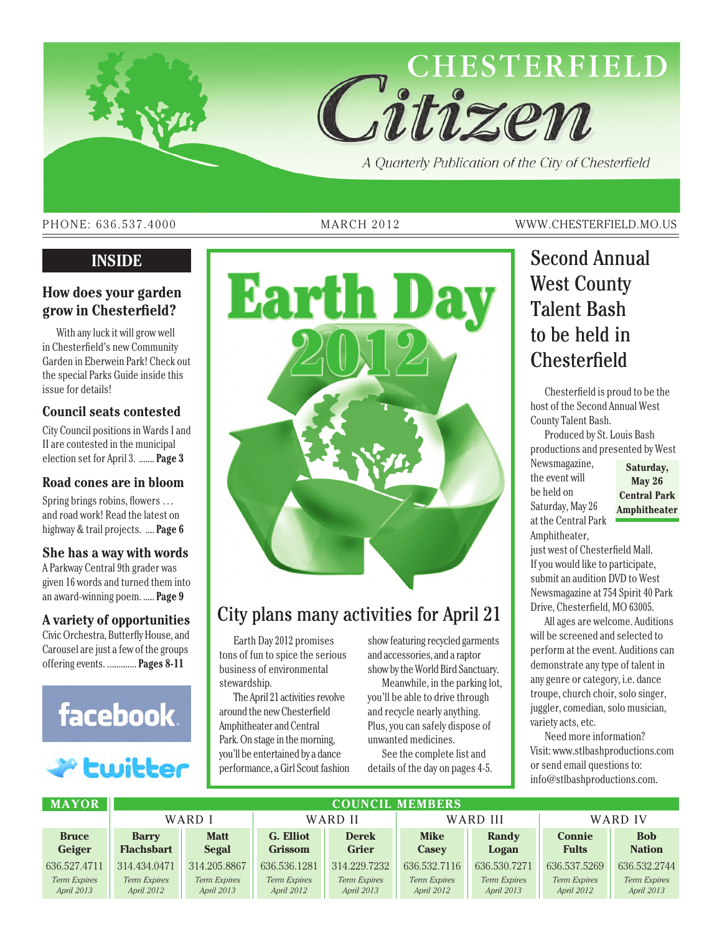

#### PHONE: 636.537.4000 MARCH 2012 WWW.CHESTERFIELD.MO.US

#### **How does your garden grow in Chesterfield?**

With any luck it will grow well in Chesterfield's new Community Garden in Eberwein Park! Check out the special Parks Guide inside this issue for details!

#### **Council seats contested**

City Council positions in Wards I and II are contested in the municipal election set for April 3. ....... **Page 3**

#### **Road cones are in bloom**

Spring brings robins, flowers … and road work! Read the latest on highway & trail projects. .... **Page 6**

#### **She has a way with words**

A Parkway Central 9th grader was given 16 words and turned them into an award-winning poem. ..... **Page 9**

#### **A variety of opportunities**

Civic Orchestra, Butterfly House, and Carousel are just a few of the groups offering events. ............. **Pages 8-11**



## P Ewitter



## City plans many activities for April 21

Earth Day 2012 promises tons of fun to spice the serious business of environmental stewardship.

The April 21 activities revolve around the new Chesterfield Amphitheater and Central Park. On stage in the morning, you'll be entertained by a dance performance, a Girl Scout fashion

show featuring recycled garments and accessories, and a raptor show by the World Bird Sanctuary.

Meanwhile, in the parking lot, you'll be able to drive through and recycle nearly anything. Plus, you can safely dispose of unwanted medicines.

See the complete list and details of the day on pages 4-5.

## West County Talent Bash to be held in **Chesterfield**

Chesterfield is proud to be the host of the Second Annual West County Talent Bash.

Produced by St. Louis Bash productions and presented by West Newsmagazine, the event will be held on Saturday, May 26 at the Central Park Amphitheater,

**Saturday, May 26 Central Park Amphitheater**

just west of Chesterfield Mall. If you would like to participate, submit an audition DVD to West Newsmagazine at 754 Spirit 40 Park Drive, Chesterfield, MO 63005.

All ages are welcome. Auditions will be screened and selected to perform at the event. Auditions can demonstrate any type of talent in any genre or category, i.e. dance troupe, church choir, solo singer, juggler, comedian, solo musician, variety acts, etc.

Need more information? Visit: www.stlbashproductions.com or send email questions to: info@stlbashproductions.com.

| <b>MAYOR</b> | <b>COUNCIL MEMBERS</b> |                     |                |              |                     |                     |                     |                     |
|--------------|------------------------|---------------------|----------------|--------------|---------------------|---------------------|---------------------|---------------------|
|              | WARD I                 |                     | WARD II        |              | WARD III            |                     | WARD IV             |                     |
| <b>Bruce</b> | <b>Barry</b>           | <b>Matt</b>         | G. Elliot      | <b>Derek</b> | <b>Mike</b>         | <b>Randy</b>        | <b>Connie</b>       | <b>Bob</b>          |
| Geiger       | <b>Flachsbart</b>      | Segal               | <b>Grissom</b> | <b>Grier</b> | <b>Casey</b>        | Logan               | <b>Fults</b>        | <b>Nation</b>       |
| 636.527.4711 | 314.434.0471           | 314.205.8867        | 636, 536, 1281 | 314.229.7232 | 636, 532, 7116      | 636, 530, 7271      | 636.537.5269        | 636.532.2744        |
| Term Expires | <b>Term Expires</b>    | <b>Term Expires</b> | Term Expires   | Term Expires | <b>Term Expires</b> | <b>Term Expires</b> | <b>Term Expires</b> | <b>Term Expires</b> |
| April 2013   | April 2012             | April 2013          | April 2012     | April 2013   | April 2012          | April 2013          | April 2012          | April 2013          |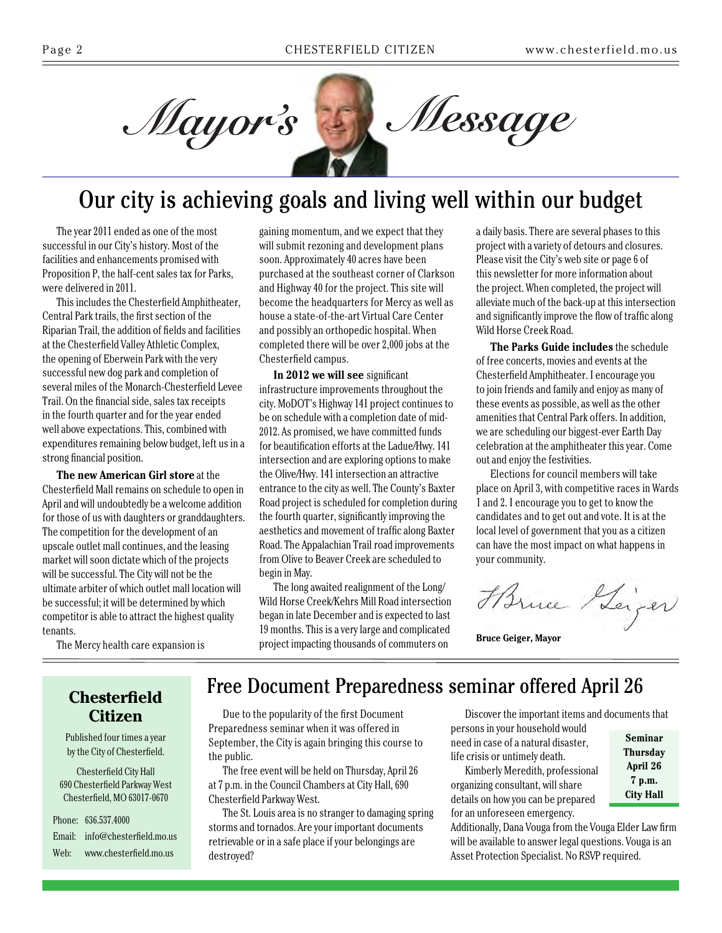

## Our city is achieving goals and living well within our budget

The year 2011 ended as one of the most successful in our City's history. Most of the facilities and enhancements promised with Proposition P, the half-cent sales tax for Parks, were delivered in 2011.

This includes the Chesterfield Amphitheater, Central Park trails, the first section of the Riparian Trail, the addition of fields and facilities at the Chesterfield Valley Athletic Complex, the opening of Eberwein Park with the very successful new dog park and completion of several miles of the Monarch-Chesterfield Levee Trail. On the financial side, sales tax receipts in the fourth quarter and for the year ended well above expectations. This, combined with expenditures remaining below budget, left us in a strong financial position.

**The new American Girl store** at the Chesterfield Mall remains on schedule to open in April and will undoubtedly be a welcome addition for those of us with daughters or granddaughters. The competition for the development of an upscale outlet mall continues, and the leasing market will soon dictate which of the projects will be successful. The City will not be the ultimate arbiter of which outlet mall location will be successful; it will be determined by which competitor is able to attract the highest quality tenants.

gaining momentum, and we expect that they will submit rezoning and development plans soon. Approximately 40 acres have been purchased at the southeast corner of Clarkson and Highway 40 for the project. This site will become the headquarters for Mercy as well as house a state-of-the-art Virtual Care Center and possibly an orthopedic hospital. When completed there will be over 2,000 jobs at the Chesterfield campus.

**In 2012 we will see** significant infrastructure improvements throughout the city. MoDOT's Highway 141 project continues to be on schedule with a completion date of mid-2012. As promised, we have committed funds for beautification efforts at the Ladue/Hwy. 141 intersection and are exploring options to make the Olive/Hwy. 141 intersection an attractive entrance to the city as well. The County's Baxter Road project is scheduled for completion during the fourth quarter, significantly improving the aesthetics and movement of traffic along Baxter Road. The Appalachian Trail road improvements from Olive to Beaver Creek are scheduled to begin in May.

The long awaited realignment of the Long/ Wild Horse Creek/Kehrs Mill Road intersection began in late December and is expected to last 19 months. This is a very large and complicated project impacting thousands of commuters on

a daily basis. There are several phases to this project with a variety of detours and closures. Please visit the City's web site or page 6 of this newsletter for more information about the project. When completed, the project will alleviate much of the back-up at this intersection and significantly improve the flow of traffic along Wild Horse Creek Road.

**The Parks Guide includes** the schedule of free concerts, movies and events at the Chesterfield Amphitheater. I encourage you to join friends and family and enjoy as many of these events as possible, as well as the other amenities that Central Park offers. In addition, we are scheduling our biggest-ever Earth Day celebration at the amphitheater this year. Come out and enjoy the festivities.

Elections for council members will take place on April 3, with competitive races in Wards 1 and 2. I encourage you to get to know the candidates and to get out and vote. It is at the local level of government that you as a citizen can have the most impact on what happens in your community.

Harne Leiger

**Bruce Geiger, Mayor**

#### **Chesterfield Citizen**

The Mercy health care expansion is

Published four times a year by the City of Chesterfield.

Chesterfield City Hall 690 Chesterfield Parkway West Chesterfield, MO 63017-0670

Phone: 636.537.4000 Email: info@chesterfield.mo.us Web: www.chesterfield.mo.us

## Free Document Preparedness seminar offered April 26

Due to the popularity of the first Document Preparedness seminar when it was offered in September, the City is again bringing this course to the public.

The free event will be held on Thursday, April 26 at 7 p.m. in the Council Chambers at City Hall, 690 Chesterfield Parkway West.

The St. Louis area is no stranger to damaging spring storms and tornados. Are your important documents retrievable or in a safe place if your belongings are destroyed?

Discover the important items and documents that persons in your household would

need in case of a natural disaster, life crisis or untimely death.

Kimberly Meredith, professional organizing consultant, will share details on how you can be prepared for an unforeseen emergency.

**Seminar Thursday April 26 7 p.m. City Hall**

Additionally, Dana Vouga from the Vouga Elder Law firm will be available to answer legal questions. Vouga is an Asset Protection Specialist. No RSVP required.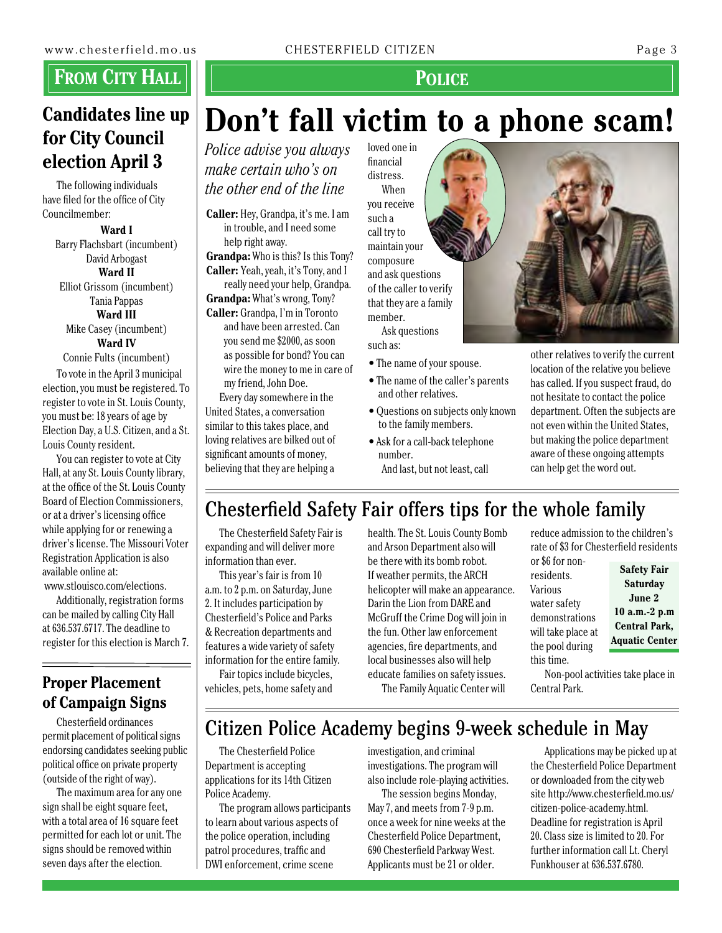## **From City Hall**

### **Candidates line up for City Council election April 3**

The following individuals have filed for the office of City Councilmember:

> **Ward I** Barry Flachsbart (incumbent) David Arbogast **Ward II** Elliot Grissom (incumbent) Tania Pappas **Ward III** Mike Casey (incumbent) **Ward IV** Connie Fults (incumbent)

To vote in the April 3 municipal election, you must be registered. To register to vote in St. Louis County, you must be: 18 years of age by Election Day, a U.S. Citizen, and a St. Louis County resident.

You can register to vote at City Hall, at any St. Louis County library, at the office of the St. Louis County Board of Election Commissioners, or at a driver's licensing office while applying for or renewing a driver's license. The Missouri Voter Registration Application is also available online at:

www.stlouisco.com/elections.

Additionally, registration forms can be mailed by calling City Hall at 636.537.6717. The deadline to register for this election is March 7.

### **Proper Placement of Campaign Signs**

Chesterfield ordinances permit placement of political signs endorsing candidates seeking public political office on private property (outside of the right of way).

The maximum area for any one sign shall be eight square feet, with a total area of 16 square feet permitted for each lot or unit. The signs should be removed within seven days after the election.

www.chesterfield.mo.us CHESTERFIELD CITIZEN Page 3

#### **Police**

## loved one in **Don't fall victim to a phone scam!**

*Police advise you always make certain who's on the other end of the line*

**Caller:** Hey, Grandpa, it's me. I am in trouble, and I need some help right away.

**Grandpa:** Who is this? Is this Tony? **Caller:** Yeah, yeah, it's Tony, and I

really need your help, Grandpa. **Grandpa:** What's wrong, Tony?

**Caller:** Grandpa, I'm in Toronto and have been arrested. Can you send me \$2000, as soon as possible for bond? You can wire the money to me in care of my friend, John Doe.

Every day somewhere in the United States, a conversation similar to this takes place, and loving relatives are bilked out of significant amounts of money, believing that they are helping a

financial distress. When you receive such a call try to maintain your composure and ask questions of the caller to verify that they are a family member.

Ask questions such as:

- The name of your spouse.
- The name of the caller's parents and other relatives.
- Questions on subjects only known to the family members.
- Ask for a call-back telephone number. And last, but not least, call

other relatives to verify the current location of the relative you believe has called. If you suspect fraud, do not hesitate to contact the police department. Often the subjects are not even within the United States, but making the police department aware of these ongoing attempts can help get the word out.

## Chesterfield Safety Fair offers tips for the whole family

The Chesterfield Safety Fair is expanding and will deliver more information than ever.

This year's fair is from 10 a.m. to 2 p.m. on Saturday, June 2. It includes participation by Chesterfield's Police and Parks & Recreation departments and features a wide variety of safety information for the entire family.

Fair topics include bicycles, vehicles, pets, home safety and

health. The St. Louis County Bomb and Arson Department also will be there with its bomb robot. If weather permits, the ARCH helicopter will make an appearance. Darin the Lion from DARE and McGruff the Crime Dog will join in the fun. Other law enforcement agencies, fire departments, and local businesses also will help educate families on safety issues. The Family Aquatic Center will

reduce admission to the children's rate of \$3 for Chesterfield residents or \$6 for non-

residents. Various water safety demonstrations will take place at the pool during this time.

**Safety Fair Saturday June 2 10 a.m.-2 p.m Central Park, Aquatic Center**

Non-pool activities take place in Central Park.

## Citizen Police Academy begins 9-week schedule in May

The Chesterfield Police Department is accepting applications for its 14th Citizen Police Academy.

The program allows participants to learn about various aspects of the police operation, including patrol procedures, traffic and DWI enforcement, crime scene

investigation, and criminal investigations. The program will also include role-playing activities.

The session begins Monday, May 7, and meets from 7-9 p.m. once a week for nine weeks at the Chesterfield Police Department, 690 Chesterfield Parkway West. Applicants must be 21 or older.

Applications may be picked up at the Chesterfield Police Department or downloaded from the city web site http://www.chesterfield.mo.us/ citizen-police-academy.html. Deadline for registration is April 20. Class size is limited to 20. For further information call Lt. Cheryl Funkhouser at 636.537.6780.

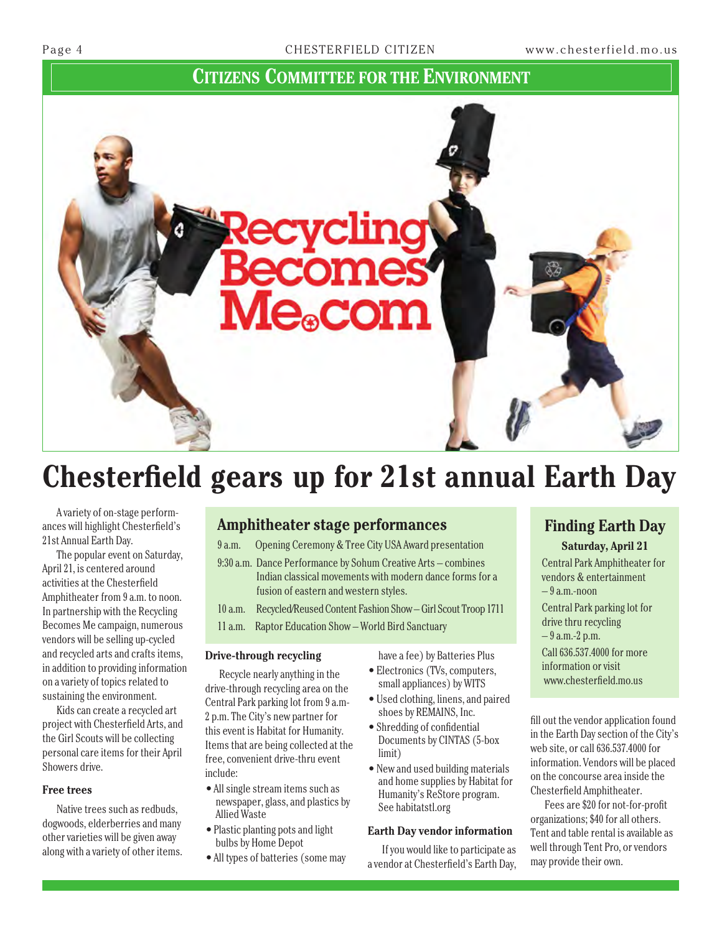#### **Citizens Committee for the Environment**



## **Chesterfield gears up for 21st annual Earth Day**

A variety of on-stage performances will highlight Chesterfield's 21st Annual Earth Day.

The popular event on Saturday, April 21, is centered around activities at the Chesterfield Amphitheater from 9 a.m. to noon. In partnership with the Recycling Becomes Me campaign, numerous vendors will be selling up-cycled and recycled arts and crafts items, in addition to providing information on a variety of topics related to sustaining the environment.

Kids can create a recycled art project with Chesterfield Arts, and the Girl Scouts will be collecting personal care items for their April Showers drive.

#### **Free trees**

Native trees such as redbuds, dogwoods, elderberries and many other varieties will be given away along with a variety of other items.

#### **Amphitheater stage performances**

9 a.m. Opening Ceremony & Tree City USA Award presentation

9:30 a.m. Dance Performance by Sohum Creative Arts – combines Indian classical movements with modern dance forms for a fusion of eastern and western styles.

10 a.m. Recycled/Reused Content Fashion Show – Girl Scout Troop 1711 11 a.m. Raptor Education Show – World Bird Sanctuary

#### **Drive-through recycling**

Recycle nearly anything in the drive-through recycling area on the Central Park parking lot from 9 a.m-2 p.m. The City's new partner for this event is Habitat for Humanity. Items that are being collected at the free, convenient drive-thru event include:

- All single stream items such as newspaper, glass, and plastics by Allied Waste
- Plastic planting pots and light bulbs by Home Depot
- All types of batteries (some may

have a fee) by Batteries Plus

- Electronics (TVs, computers, small appliances) by WITS
- Used clothing, linens, and paired shoes by REMAINS, Inc.
- Shredding of confidential Documents by CINTAS (5-box limit)
- New and used building materials and home supplies by Habitat for Humanity's ReStore program. See habitatstl.org

#### **Earth Day vendor information**

If you would like to participate as a vendor at Chesterfield's Earth Day,

### **Finding Earth Day**

**Saturday, April 21**

Central Park Amphitheater for vendors & entertainment – 9 a.m.-noon Central Park parking lot for drive thru recycling – 9 a.m.-2 p.m. Call 636.537.4000 for more information or visit www.chesterfield.mo.us

fill out the vendor application found in the Earth Day section of the City's web site, or call 636.537.4000 for information. Vendors will be placed on the concourse area inside the Chesterfield Amphitheater.

Fees are \$20 for not-for-profit organizations; \$40 for all others. Tent and table rental is available as well through Tent Pro, or vendors may provide their own.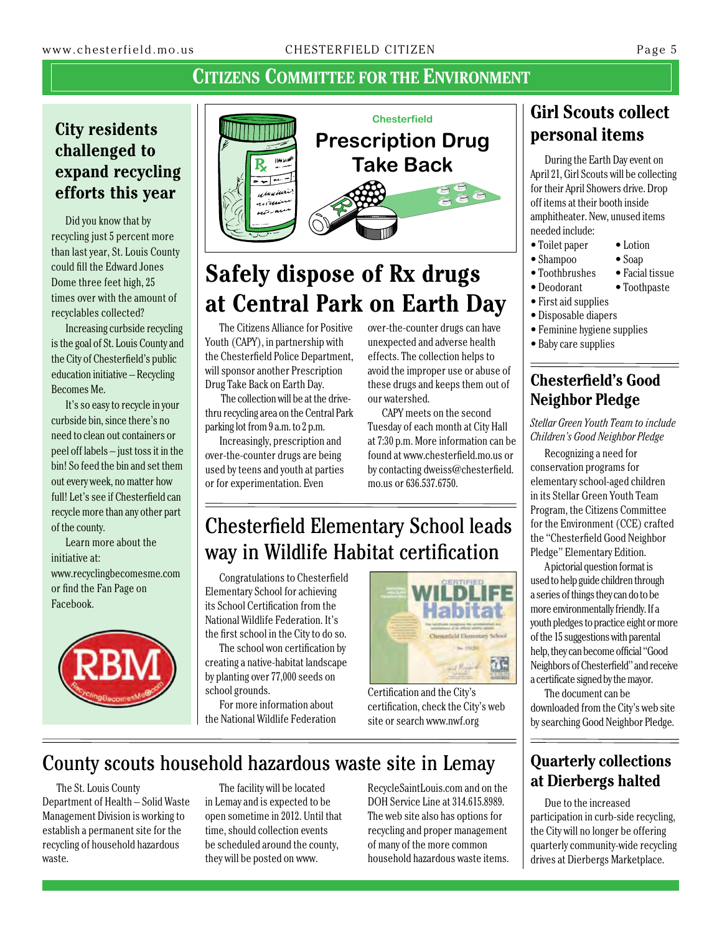### **Citizens Committee for the Environment**

### **City residents challenged to expand recycling efforts this year**

Did you know that by recycling just 5 percent more than last year, St. Louis County could fill the Edward Jones Dome three feet high, 25 times over with the amount of recyclables collected?

Increasing curbside recycling is the goal of St. Louis County and the City of Chesterfield's public education initiative – Recycling Becomes Me.

It's so easy to recycle in your curbside bin, since there's no need to clean out containers or peel off labels – just toss it in the bin! So feed the bin and set them out every week, no matter how full! Let's see if Chesterfield can recycle more than any other part of the county.

Learn more about the initiative at: www.recyclingbecomesme.com or find the Fan Page on Facebook.





## **Safely dispose of Rx drugs at Central Park on Earth Day**

The Citizens Alliance for Positive Youth (CAPY), in partnership with the Chesterfield Police Department, will sponsor another Prescription Drug Take Back on Earth Day.

 The collection will be at the drivethru recycling area on the Central Park parking lot from 9 a.m. to 2 p.m.

Increasingly, prescription and over-the-counter drugs are being used by teens and youth at parties or for experimentation. Even

over-the-counter drugs can have unexpected and adverse health effects. The collection helps to avoid the improper use or abuse of these drugs and keeps them out of our watershed.

CAPY meets on the second Tuesday of each month at City Hall at 7:30 p.m. More information can be found at www.chesterfield.mo.us or by contacting dweiss@chesterfield. mo.us or 636.537.6750.

## Chesterfield Elementary School leads way in Wildlife Habitat certification

Congratulations to Chesterfield Elementary School for achieving its School Certification from the National Wildlife Federation. It's the first school in the City to do so.

The school won certification by creating a native-habitat landscape by planting over 77,000 seeds on school grounds.

For more information about the National Wildlife Federation



Certification and the City's certification, check the City's web site or search www.nwf.org

## County scouts household hazardous waste site in Lemay

The St. Louis County Department of Health – Solid Waste Management Division is working to establish a permanent site for the recycling of household hazardous waste.

The facility will be located in Lemay and is expected to be open sometime in 2012. Until that time, should collection events be scheduled around the county, they will be posted on www.

RecycleSaintLouis.com and on the DOH Service Line at 314.615.8989. The web site also has options for recycling and proper management of many of the more common household hazardous waste items.

## **Girl Scouts collect personal items**

During the Earth Day event on April 21, Girl Scouts will be collecting for their April Showers drive. Drop off items at their booth inside amphitheater. New, unused items needed include:

- Toilet paper Lotion
- Shampoo Soap
- Toothbrushes Facial tissue
- Deodorant Toothpaste
- First aid supplies
- Disposable diapers
- Feminine hygiene supplies
- Baby care supplies

#### **Chesterfield's Good Neighbor Pledge**

*Stellar Green Youth Team to include Children's Good Neighbor Pledge*

Recognizing a need for conservation programs for elementary school-aged children in its Stellar Green Youth Team Program, the Citizens Committee for the Environment (CCE) crafted the "Chesterfield Good Neighbor Pledge" Elementary Edition.

A pictorial question format is used to help guide children through a series of things they can do to be more environmentally friendly. If a youth pledges to practice eight or more of the 15 suggestions with parental help, they can become official "Good Neighbors of Chesterfield" and receive a certificate signed by the mayor.

The document can be downloaded from the City's web site by searching Good Neighbor Pledge.

#### **Quarterly collections at Dierbergs halted**

Due to the increased participation in curb-side recycling, the City will no longer be offering quarterly community-wide recycling drives at Dierbergs Marketplace.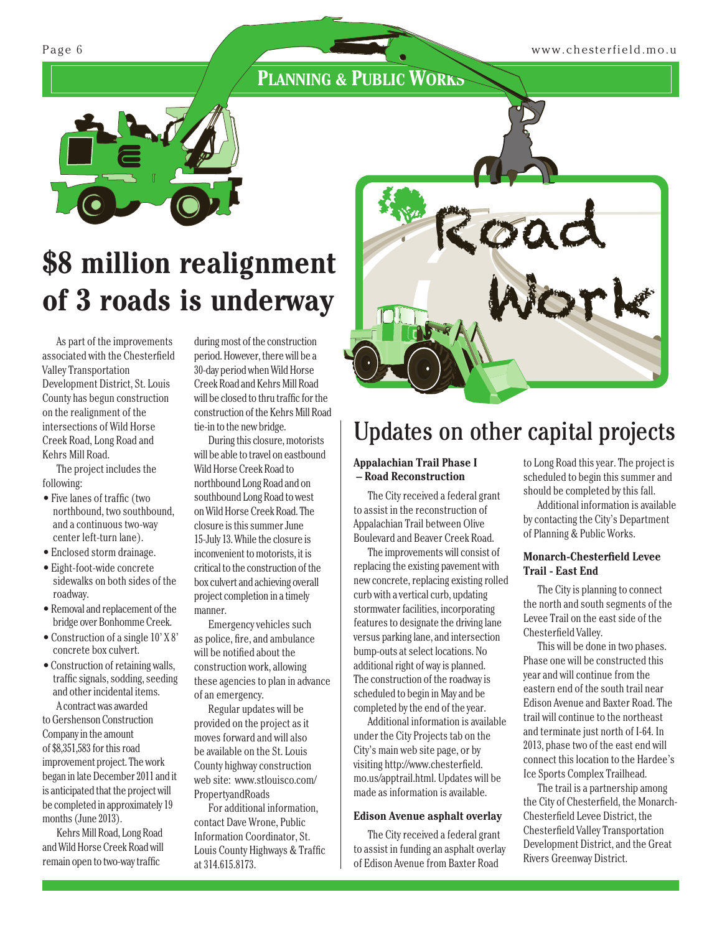### **PLANNING & PUBLIC WORKS**



# **of 3 roads is underway**

As part of the improvements associated with the Chesterfield Valley Transportation Development District, St. Louis County has begun construction on the realignment of the intersections of Wild Horse Creek Road, Long Road and Kehrs Mill Road.

The project includes the following:

- Five lanes of traffic (two northbound, two southbound, and a continuous two-way center left-turn lane).
- Enclosed storm drainage.
- Eight-foot-wide concrete sidewalks on both sides of the roadway.
- Removal and replacement of the bridge over Bonhomme Creek.
- Construction of a single 10' X 8' concrete box culvert.
- Construction of retaining walls, traffic signals, sodding, seeding and other incidental items. A contract was awarded

to Gershenson Construction Company in the amount of \$8,351,583 for this road improvement project. The work began in late December 2011 and it is anticipated that the project will be completed in approximately 19 months (June 2013).

Kehrs Mill Road, Long Road and Wild Horse Creek Road will remain open to two-way traffic

during most of the construction period. However, there will be a 30-day period when Wild Horse Creek Road and Kehrs Mill Road will be closed to thru traffic for the construction of the Kehrs Mill Road tie-in to the new bridge.

During this closure, motorists will be able to travel on eastbound Wild Horse Creek Road to northbound Long Road and on southbound Long Road to west on Wild Horse Creek Road. The closure is this summer June 15-July 13. While the closure is inconvenient to motorists, it is critical to the construction of the box culvert and achieving overall project completion in a timely manner.

Emergency vehicles such as police, fire, and ambulance will be notified about the construction work, allowing these agencies to plan in advance of an emergency.

Regular updates will be provided on the project as it moves forward and will also be available on the St. Louis County highway construction web site: www.stlouisco.com/ PropertyandRoads

For additional information, contact Dave Wrone, Public Information Coordinator, St. Louis County Highways & Traffic at 314.615.8173.



## Updates on other capital projects

#### **Appalachian Trail Phase I – Road Reconstruction**

The City received a federal grant to assist in the reconstruction of Appalachian Trail between Olive Boulevard and Beaver Creek Road.

The improvements will consist of replacing the existing pavement with new concrete, replacing existing rolled curb with a vertical curb, updating stormwater facilities, incorporating features to designate the driving lane versus parking lane, and intersection bump-outs at select locations. No additional right of way is planned. The construction of the roadway is scheduled to begin in May and be completed by the end of the year.

Additional information is available under the City Projects tab on the City's main web site page, or by visiting http://www.chesterfield. mo.us/apptrail.html. Updates will be made as information is available.

#### **Edison Avenue asphalt overlay**

The City received a federal grant to assist in funding an asphalt overlay of Edison Avenue from Baxter Road

to Long Road this year. The project is scheduled to begin this summer and should be completed by this fall.

Additional information is available by contacting the City's Department of Planning & Public Works.

#### **Monarch-Chesterfield Levee Trail - East End**

The City is planning to connect the north and south segments of the Levee Trail on the east side of the Chesterfield Valley.

This will be done in two phases. Phase one will be constructed this year and will continue from the eastern end of the south trail near Edison Avenue and Baxter Road. The trail will continue to the northeast and terminate just north of I-64. In 2013, phase two of the east end will connect this location to the Hardee's Ice Sports Complex Trailhead.

The trail is a partnership among the City of Chesterfield, the Monarch-Chesterfield Levee District, the Chesterfield Valley Transportation Development District, and the Great Rivers Greenway District.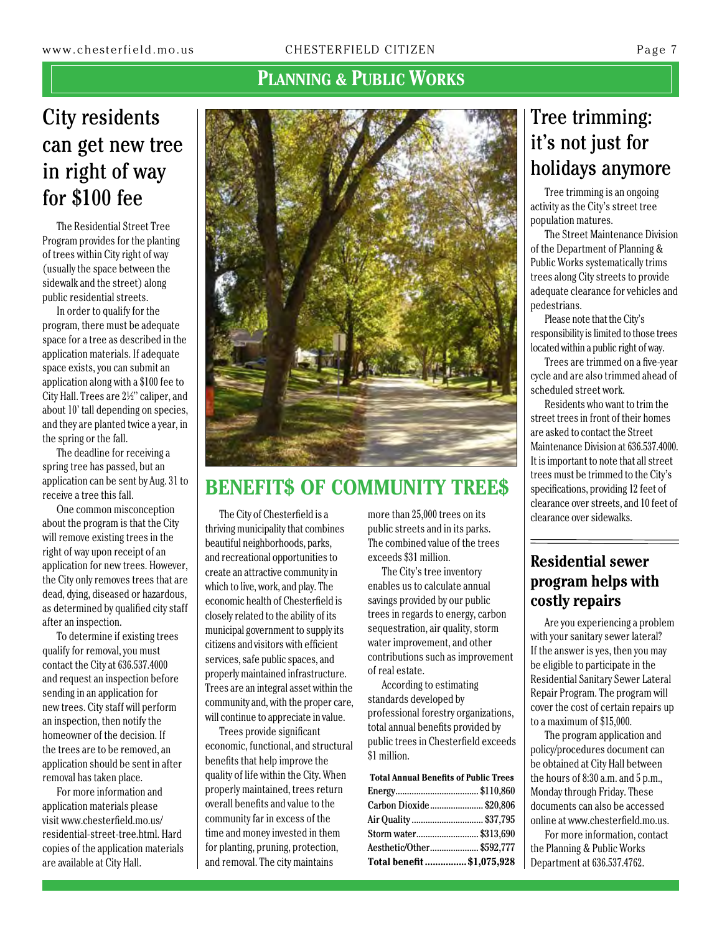### **PLANNING & PUBLIC WORKS**

## City residents can get new tree in right of way for \$100 fee

The Residential Street Tree Program provides for the planting of trees within City right of way (usually the space between the sidewalk and the street) along public residential streets.

In order to qualify for the program, there must be adequate space for a tree as described in the application materials. If adequate space exists, you can submit an application along with a \$100 fee to City Hall. Trees are 2½" caliper, and about 10' tall depending on species, and they are planted twice a year, in the spring or the fall.

The deadline for receiving a spring tree has passed, but an application can be sent by Aug. 31 to receive a tree this fall.

One common misconception about the program is that the City will remove existing trees in the right of way upon receipt of an application for new trees. However, the City only removes trees that are dead, dying, diseased or hazardous, as determined by qualified city staff after an inspection.

To determine if existing trees qualify for removal, you must contact the City at 636.537.4000 and request an inspection before sending in an application for new trees. City staff will perform an inspection, then notify the homeowner of the decision. If the trees are to be removed, an application should be sent in after removal has taken place.

For more information and application materials please visit www.chesterfield.mo.us/ residential-street-tree.html. Hard copies of the application materials are available at City Hall.



## **Benefit\$ of Community Tree\$**

The City of Chesterfield is a thriving municipality that combines beautiful neighborhoods, parks, and recreational opportunities to create an attractive community in which to live, work, and play. The economic health of Chesterfield is closely related to the ability of its municipal government to supply its citizens and visitors with efficient services, safe public spaces, and properly maintained infrastructure. Trees are an integral asset within the community and, with the proper care, will continue to appreciate in value.

Trees provide significant economic, functional, and structural benefits that help improve the quality of life within the City. When properly maintained, trees return overall benefits and value to the community far in excess of the time and money invested in them for planting, pruning, protection, and removal. The city maintains

more than 25,000 trees on its public streets and in its parks. The combined value of the trees exceeds \$31 million.

The City's tree inventory enables us to calculate annual savings provided by our public trees in regards to energy, carbon sequestration, air quality, storm water improvement, and other contributions such as improvement of real estate.

According to estimating standards developed by professional forestry organizations, total annual benefits provided by public trees in Chesterfield exceeds \$1 million.

| <b>Total Annual Benefits of Public Trees</b> |  |  |  |  |  |  |
|----------------------------------------------|--|--|--|--|--|--|
|                                              |  |  |  |  |  |  |
| Carbon Dioxide\$20,806                       |  |  |  |  |  |  |
| Air Quality  \$37,795                        |  |  |  |  |  |  |
| Storm water \$313,690                        |  |  |  |  |  |  |
| Aesthetic/Other \$592,777                    |  |  |  |  |  |  |
| Total benefit  \$1,075,928                   |  |  |  |  |  |  |

## Tree trimming: it's not just for holidays anymore

Tree trimming is an ongoing activity as the City's street tree population matures.

The Street Maintenance Division of the Department of Planning & Public Works systematically trims trees along City streets to provide adequate clearance for vehicles and pedestrians.

Please note that the City's responsibility is limited to those trees located within a public right of way.

Trees are trimmed on a five-year cycle and are also trimmed ahead of scheduled street work.

Residents who want to trim the street trees in front of their homes are asked to contact the Street Maintenance Division at 636.537.4000. It is important to note that all street trees must be trimmed to the City's specifications, providing 12 feet of clearance over streets, and 10 feet of clearance over sidewalks.

#### **Residential sewer program helps with costly repairs**

Are you experiencing a problem with your sanitary sewer lateral? If the answer is yes, then you may be eligible to participate in the Residential Sanitary Sewer Lateral Repair Program. The program will cover the cost of certain repairs up to a maximum of \$15,000.

The program application and policy/procedures document can be obtained at City Hall between the hours of 8:30 a.m. and 5 p.m., Monday through Friday. These documents can also be accessed online at www.chesterfield.mo.us.

For more information, contact the Planning & Public Works Department at 636.537.4762.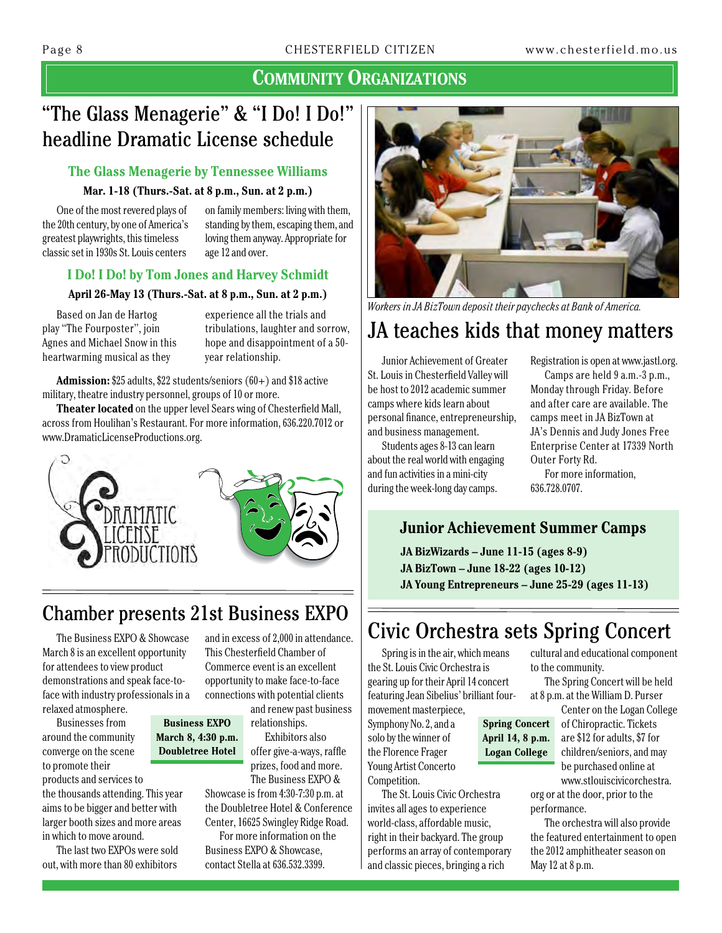## "The Glass Menagerie" & "I Do! I Do!" headline Dramatic License schedule

#### **The Glass Menagerie by Tennessee Williams**

#### **Mar. 1-18 (Thurs.-Sat. at 8 p.m., Sun. at 2 p.m.)**

One of the most revered plays of the 20th century, by one of America's greatest playwrights, this timeless classic set in 1930s St. Louis centers

on family members: living with them, standing by them, escaping them, and loving them anyway. Appropriate for age 12 and over.

#### **I Do! I Do! by Tom Jones and Harvey Schmidt**

#### **April 26-May 13 (Thurs.-Sat. at 8 p.m., Sun. at 2 p.m.)**

Based on Jan de Hartog play "The Fourposter", join Agnes and Michael Snow in this heartwarming musical as they

experience all the trials and tribulations, laughter and sorrow, hope and disappointment of a 50 year relationship.

**Admission:** \$25 adults, \$22 students/seniors (60+) and \$18 active military, theatre industry personnel, groups of 10 or more.

**Theater located** on the upper level Sears wing of Chesterfield Mall, across from Houlihan's Restaurant. For more information, 636.220.7012 or www.DramaticLicenseProductions.org.



## Chamber presents 21st Business Expo

**Business Expo March 8, 4:30 p.m. Doubletree Hotel**

The Business EXPO & Showcase March 8 is an excellent opportunity for attendees to view product demonstrations and speak face-toface with industry professionals in a relaxed atmosphere.

Businesses from around the community converge on the scene to promote their

products and services to the thousands attending. This year aims to be bigger and better with larger booth sizes and more areas in which to move around.

The last two EXPOs were sold out, with more than 80 exhibitors

and in excess of 2,000 in attendance. This Chesterfield Chamber of Commerce event is an excellent opportunity to make face-to-face connections with potential clients

and renew past business relationships.

Exhibitors also offer give-a-ways, raffle prizes, food and more. The Business EXPO &

Showcase is from 4:30-7:30 p.m. at the Doubletree Hotel & Conference Center, 16625 Swingley Ridge Road.

For more information on the Business EXPO & Showcase, contact Stella at 636.532.3399.



*Workers in JA BizTown deposit their paychecks at Bank of America.*

## JA teaches kids that money matters

Junior Achievement of Greater St. Louis in Chesterfield Valley will be host to 2012 academic summer camps where kids learn about personal finance, entrepreneurship, and business management.

Students ages 8-13 can learn about the real world with engaging and fun activities in a mini-city during the week-long day camps.

Registration is open at www.jastl.org.

Camps are held 9 a.m.-3 p.m., Monday through Friday. Before and after care are available. The camps meet in JA BizTown at JA's Dennis and Judy Jones Free Enterprise Center at 17339 North Outer Forty Rd.

For more information, 636.728.0707.

#### **Junior Achievement Summer Camps**

**JA BizWizards – June 11-15 (ages 8-9) JA BizTown – June 18-22 (ages 10-12) JA Young Entrepreneurs – June 25-29 (ages 11-13)**

## Civic Orchestra sets Spring Concert

**April 14, 8 p.m. Logan College**

Spring is in the air, which means the St. Louis Civic Orchestra is gearing up for their April 14 concert featuring Jean Sibelius' brilliant four-

movement masterpiece, Symphony No. 2, and a solo by the winner of the Florence Frager Young Artist Concerto Competition.

The St. Louis Civic Orchestra invites all ages to experience world-class, affordable music, right in their backyard. The group performs an array of contemporary and classic pieces, bringing a rich

cultural and educational component to the community.

The Spring Concert will be held at 8 p.m. at the William D. Purser

Center on the Logan College of Chiropractic. Tickets are \$12 for adults, \$7 for children/seniors, and may be purchased online at www.stlouiscivicorchestra. **Spring Concert** 

org or at the door, prior to the performance.

The orchestra will also provide the featured entertainment to open the 2012 amphitheater season on May 12 at 8 p.m.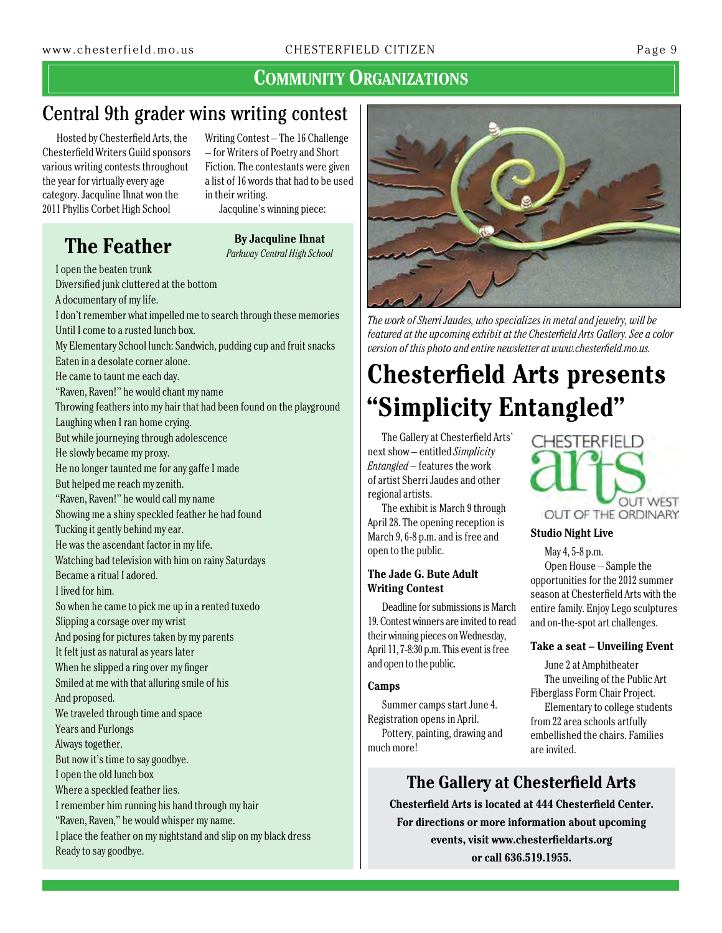## Central 9th grader wins writing contest

Hosted by Chesterfield Arts, the Chesterfield Writers Guild sponsors various writing contests throughout the year for virtually every age category. Jacquline Ihnat won the 2011 Phyllis Corbet High School

Writing Contest – The 16 Challenge – for Writers of Poetry and Short Fiction. The contestants were given a list of 16 words that had to be used in their writing.

**The Feather By Jacquline Ihnat** 

## Jacquline's winning piece:

*Parkway Central High School*

I open the beaten trunk Diversified junk cluttered at the bottom A documentary of my life. I don't remember what impelled me to search through these memories Until I come to a rusted lunch box. My Elementary School lunch: Sandwich, pudding cup and fruit snacks Eaten in a desolate corner alone. He came to taunt me each day. "Raven, Raven!" he would chant my name Throwing feathers into my hair that had been found on the playground Laughing when I ran home crying. But while journeying through adolescence He slowly became my proxy. He no longer taunted me for any gaffe I made But helped me reach my zenith. "Raven, Raven!" he would call my name Showing me a shiny speckled feather he had found Tucking it gently behind my ear. He was the ascendant factor in my life. Watching bad television with him on rainy Saturdays Became a ritual I adored. I lived for him. So when he came to pick me up in a rented tuxedo Slipping a corsage over my wrist And posing for pictures taken by my parents It felt just as natural as years later When he slipped a ring over my finger Smiled at me with that alluring smile of his And proposed. We traveled through time and space Years and Furlongs Always together. But now it's time to say goodbye. I open the old lunch box Where a speckled feather lies. I remember him running his hand through my hair "Raven, Raven," he would whisper my name. I place the feather on my nightstand and slip on my black dress Ready to say goodbye.



*The work of Sherri Jaudes, who specializes in metal and jewelry, will be featured at the upcoming exhibit at the Chesterfield Arts Gallery. See a color version of this photo and entire newsletter at www.chesterfield.mo.us.*

## **Chesterfield Arts presents "Simplicity Entangled"**

The Gallery at Chesterfield Arts' next show – entitled *Simplicity Entangled* – features the work of artist Sherri Jaudes and other regional artists.

The exhibit is March 9 through April 28. The opening reception is March 9, 6-8 p.m. and is free and open to the public.

#### **The Jade G. Bute Adult Writing Contest**

Deadline for submissions is March 19. Contest winners are invited to read their winning pieces on Wednesday, April 11, 7-8:30 p.m. This event is free and open to the public.

#### **Camps**

Summer camps start June 4. Registration opens in April. Pottery, painting, drawing and much more!

## **The Gallery at Chesterfield Arts**

**Chesterfield Arts is located at 444 Chesterfield Center. For directions or more information about upcoming events, visit www.chesterfieldarts.org or call 636.519.1955.**



#### **Studio Night Live**

May 4, 5-8 p.m. Open House – Sample the opportunities for the 2012 summer season at Chesterfield Arts with the entire family. Enjoy Lego sculptures and on-the-spot art challenges.

#### **Take a seat – Unveiling Event**

June 2 at Amphitheater The unveiling of the Public Art Fiberglass Form Chair Project.

Elementary to college students from 22 area schools artfully embellished the chairs. Families are invited.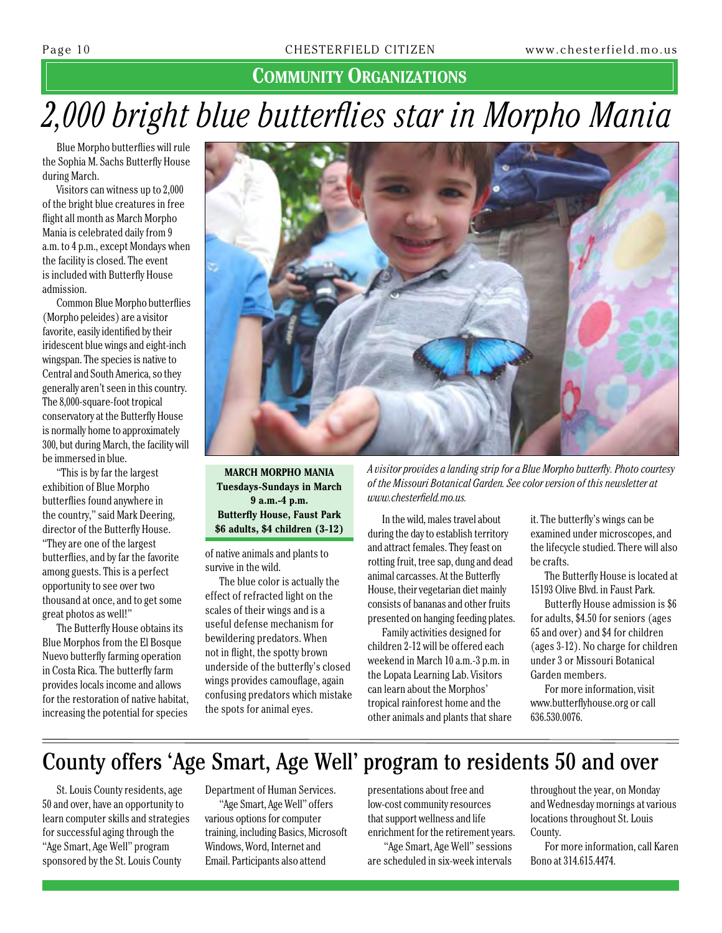## *2,000 bright blue butterflies star in Morpho Mania*

Blue Morpho butterflies will rule the Sophia M. Sachs Butterfly House during March.

Visitors can witness up to 2,000 of the bright blue creatures in free flight all month as March Morpho Mania is celebrated daily from 9 a.m. to 4 p.m., except Mondays when the facility is closed. The event is included with Butterfly House admission.

Common Blue Morpho butterflies (Morpho peleides) are a visitor favorite, easily identified by their iridescent blue wings and eight-inch wingspan. The species is native to Central and South America, so they generally aren't seen in this country. The 8,000-square-foot tropical conservatory at the Butterfly House is normally home to approximately 300, but during March, the facility will be immersed in blue.

"This is by far the largest exhibition of Blue Morpho butterflies found anywhere in the country," said Mark Deering, director of the Butterfly House. "They are one of the largest butterflies, and by far the favorite among guests. This is a perfect opportunity to see over two thousand at once, and to get some great photos as well!"

The Butterfly House obtains its Blue Morphos from the El Bosque Nuevo butterfly farming operation in Costa Rica. The butterfly farm provides locals income and allows for the restoration of native habitat, increasing the potential for species



**March Morpho Mania Tuesdays-Sundays in March 9 a.m.-4 p.m. Butterfly House, Faust Park \$6 adults, \$4 children (3-12)**

of native animals and plants to survive in the wild.

The blue color is actually the effect of refracted light on the scales of their wings and is a useful defense mechanism for bewildering predators. When not in flight, the spotty brown underside of the butterfly's closed wings provides camouflage, again confusing predators which mistake the spots for animal eyes.

*A visitor provides a landing strip for a Blue Morpho butterfly. Photo courtesy of the Missouri Botanical Garden. See color version of this newsletter at www.chesterfield.mo.us.*

In the wild, males travel about during the day to establish territory and attract females. They feast on rotting fruit, tree sap, dung and dead animal carcasses. At the Butterfly House, their vegetarian diet mainly consists of bananas and other fruits presented on hanging feeding plates.

Family activities designed for children 2-12 will be offered each weekend in March 10a.m.-3 p.m. in the Lopata Learning Lab. Visitors can learn about the Morphos' tropical rainforest home and the other animals and plants that share it. The butterfly's wings can be examined under microscopes, and the lifecycle studied. There will also be crafts.

The Butterfly House is located at 15193 Olive Blvd. in Faust Park.

Butterfly House admission is \$6 for adults, \$4.50 for seniors (ages 65 and over) and \$4 for children (ages 3-12). No charge for children under 3 or Missouri Botanical Garden members.

For more information, visit www.butterflyhouse.org or call 636.530.0076.

## County offers 'Age Smart, Age Well' program to residents 50 and over

St. Louis County residents, age 50 and over, have an opportunity to learn computer skills and strategies for successful aging through the "Age Smart, Age Well" program sponsored by the St. Louis County

Department of Human Services.

"Age Smart, Age Well" offers various options for computer training, including Basics, Microsoft Windows, Word, Internet and Email. Participants also attend

presentations about free and low-cost community resources that support wellness and life enrichment for the retirement years.

 "Age Smart, Age Well" sessions are scheduled in six-week intervals

throughout the year, on Monday and Wednesday mornings at various locations throughout St. Louis County.

For more information, call Karen Bono at 314.615.4474.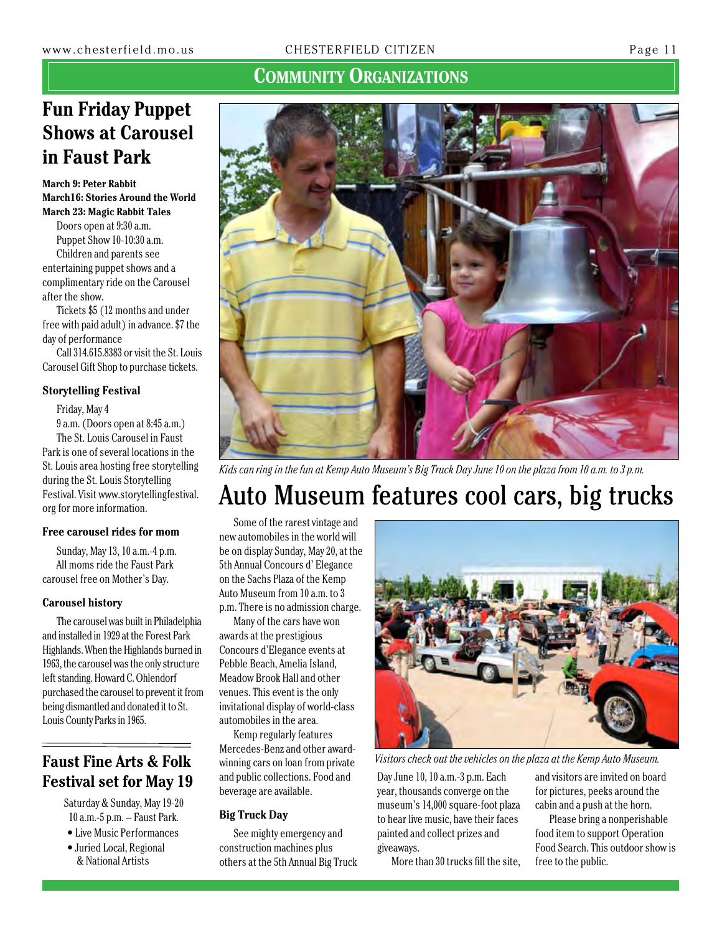## **Fun Friday Puppet Shows at Carousel in Faust Park**

**March 9: Peter Rabbit March16: Stories Around the World March 23: Magic Rabbit Tales**

Doors open at 9:30 a.m. Puppet Show 10-10:30 a.m. Children and parents see entertaining puppet shows and a complimentary ride on the Carousel after the show.

Tickets \$5 (12 months and under free with paid adult) in advance. \$7 the day of performance

Call 314.615.8383 or visit the St. Louis Carousel Gift Shop to purchase tickets.

#### **Storytelling Festival**

Friday, May 4

9 a.m. (Doors open at 8:45 a.m.) The St. Louis Carousel in Faust Park is one of several locations in the St. Louis area hosting free storytelling during the St. Louis Storytelling Festival. Visit www.storytellingfestival. org for more information.

#### **Free carousel rides for mom**

Sunday, May 13, 10 a.m.-4 p.m. All moms ride the Faust Park carousel free on Mother's Day.

#### **Carousel history**

The carousel was built in Philadelphia and installed in 1929 at the Forest Park Highlands. When the Highlands burned in 1963, the carousel was the only structure left standing. Howard C. Ohlendorf purchased the carousel to prevent it from being dismantled and donated it to St. Louis County Parks in 1965.

## **Festival set for May 19**

Saturday & Sunday, May 19-20 10 a.m.-5 p.m. – Faust Park.

• Live Music Performances • Juried Local, Regional & National Artists



*Kids can ring in the fun at Kemp Auto Museum's Big Truck Day June 10 on the plaza from 10 a.m. to 3 p.m.*

## Auto Museum features cool cars, big trucks

Some of the rarest vintage and new automobiles in the world will be on display Sunday, May 20, at the 5th Annual Concours d' Elegance on the Sachs Plaza of the Kemp Auto Museum from 10 a.m. to 3 p.m. There is no admission charge.

Many of the cars have won awards at the prestigious Concours d'Elegance events at Pebble Beach, Amelia Island, Meadow Brook Hall and other venues. This event is the only invitational display of world-class automobiles in the area.

Kemp regularly features Mercedes-Benz and other awardwinning cars on loan from private and public collections. Food and beverage are available.

#### **Big Truck Day**

See mighty emergency and construction machines plus others at the 5th Annual Big Truck



**Faust Fine Arts & Folk** winning cars on loan from private *Visitors check out the vehicles on the plaza at the Kemp Auto Museum.* 

Day June 10, 10 a.m.-3 p.m. Each year, thousands converge on the museum's 14,000 square-foot plaza to hear live music, have their faces painted and collect prizes and giveaways.

More than 30 trucks fill the site,



Please bring a nonperishable food item to support Operation Food Search. This outdoor show is free to the public.